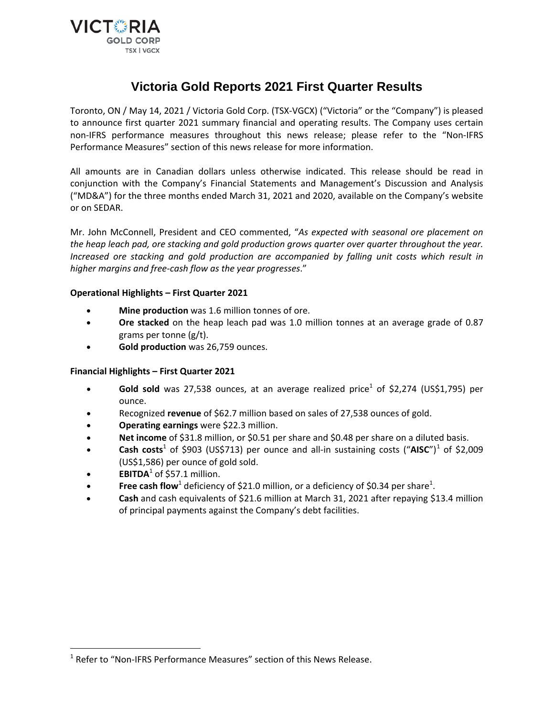

# **Victoria Gold Reports 2021 First Quarter Results**

Toronto, ON / May 14, 2021 / Victoria Gold Corp. (TSX-VGCX) ("Victoria" or the "Company") is pleased to announce first quarter 2021 summary financial and operating results. The Company uses certain non-IFRS performance measures throughout this news release; please refer to the "Non-IFRS Performance Measures" section of this news release for more information.

All amounts are in Canadian dollars unless otherwise indicated. This release should be read in conjunction with the Company's Financial Statements and Management's Discussion and Analysis ("MD&A") for the three months ended March 31, 2021 and 2020, available on the Company's website or on SEDAR.

Mr. John McConnell, President and CEO commented, "*As expected with seasonal ore placement on the heap leach pad, ore stacking and gold production grows quarter over quarter throughout the year. Increased ore stacking and gold production are accompanied by falling unit costs which result in higher margins and free-cash flow as the year progresses*."

# **Operational Highlights – First Quarter 2021**

- **Mine production** was 1.6 million tonnes of ore.
- **Ore stacked** on the heap leach pad was 1.0 million tonnes at an average grade of 0.87 grams per tonne (g/t).
- **Gold production** was 26,759 ounces.

# **Financial Highlights – First Quarter 2021**

- **Gold sold** was 27,538 ounces, at an average realized price<sup>1</sup> of \$2,274 (US\$1,795) per ounce.
- Recognized **revenue** of \$62.7 million based on sales of 27,538 ounces of gold.
- **Operating earnings** were \$22.3 million.
- **Net income** of \$31.8 million, or \$0.51 per share and \$0.48 per share on a diluted basis.
- **Cash costs<sup>[1](#page-0-0)</sup> of \$903 (US\$713) per ounce and all-in sustaining costs ("AISC")<sup>1</sup> of \$2,009** (US\$1,586) per ounce of gold sold.
- **EBITDA**<sup>1</sup> of \$57.1 million.

 $\overline{a}$ 

- **Free cash flow**<sup>1</sup> deficiency of \$21.0 million, or a deficiency of \$0.34 per share<sup>1</sup>.
- **Cash** and cash equivalents of \$21.6 million at March 31, 2021 after repaying \$13.4 million of principal payments against the Company's debt facilities.

<span id="page-0-0"></span><sup>&</sup>lt;sup>1</sup> Refer to "Non-IFRS Performance Measures" section of this News Release.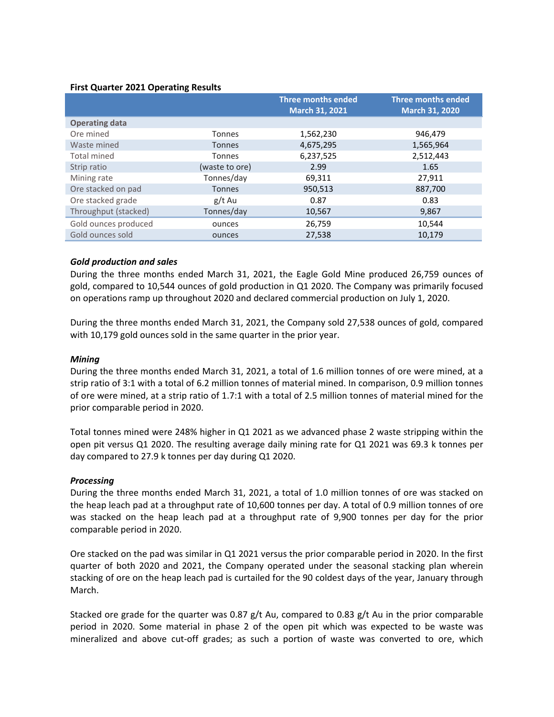## **First Quarter 2021 Operating Results**

|                       |                | <b>Three months ended</b><br><b>March 31, 2021</b> | <b>Three months ended</b><br><b>March 31, 2020</b> |
|-----------------------|----------------|----------------------------------------------------|----------------------------------------------------|
| <b>Operating data</b> |                |                                                    |                                                    |
| Ore mined             | <b>Tonnes</b>  | 1,562,230                                          | 946,479                                            |
| Waste mined           | <b>Tonnes</b>  | 4,675,295                                          | 1,565,964                                          |
| <b>Total mined</b>    | <b>Tonnes</b>  | 6,237,525                                          | 2,512,443                                          |
| Strip ratio           | (waste to ore) | 2.99                                               | 1.65                                               |
| Mining rate           | Tonnes/day     | 69,311                                             | 27,911                                             |
| Ore stacked on pad    | <b>Tonnes</b>  | 950,513                                            | 887,700                                            |
| Ore stacked grade     | g/t Au         | 0.87                                               | 0.83                                               |
| Throughput (stacked)  | Tonnes/day     | 10,567                                             | 9,867                                              |
| Gold ounces produced  | ounces         | 26,759                                             | 10,544                                             |
| Gold ounces sold      | ounces         | 27,538                                             | 10,179                                             |

## *Gold production and sales*

During the three months ended March 31, 2021, the Eagle Gold Mine produced 26,759 ounces of gold, compared to 10,544 ounces of gold production in Q1 2020. The Company was primarily focused on operations ramp up throughout 2020 and declared commercial production on July 1, 2020.

During the three months ended March 31, 2021, the Company sold 27,538 ounces of gold, compared with 10,179 gold ounces sold in the same quarter in the prior year.

#### *Mining*

During the three months ended March 31, 2021, a total of 1.6 million tonnes of ore were mined, at a strip ratio of 3:1 with a total of 6.2 million tonnes of material mined. In comparison, 0.9 million tonnes of ore were mined, at a strip ratio of 1.7:1 with a total of 2.5 million tonnes of material mined for the prior comparable period in 2020.

Total tonnes mined were 248% higher in Q1 2021 as we advanced phase 2 waste stripping within the open pit versus Q1 2020. The resulting average daily mining rate for Q1 2021 was 69.3 k tonnes per day compared to 27.9 k tonnes per day during Q1 2020.

#### *Processing*

During the three months ended March 31, 2021, a total of 1.0 million tonnes of ore was stacked on the heap leach pad at a throughput rate of 10,600 tonnes per day. A total of 0.9 million tonnes of ore was stacked on the heap leach pad at a throughput rate of 9,900 tonnes per day for the prior comparable period in 2020.

Ore stacked on the pad was similar in Q1 2021 versus the prior comparable period in 2020. In the first quarter of both 2020 and 2021, the Company operated under the seasonal stacking plan wherein stacking of ore on the heap leach pad is curtailed for the 90 coldest days of the year, January through March.

Stacked ore grade for the quarter was 0.87 g/t Au, compared to 0.83 g/t Au in the prior comparable period in 2020. Some material in phase 2 of the open pit which was expected to be waste was mineralized and above cut-off grades; as such a portion of waste was converted to ore, which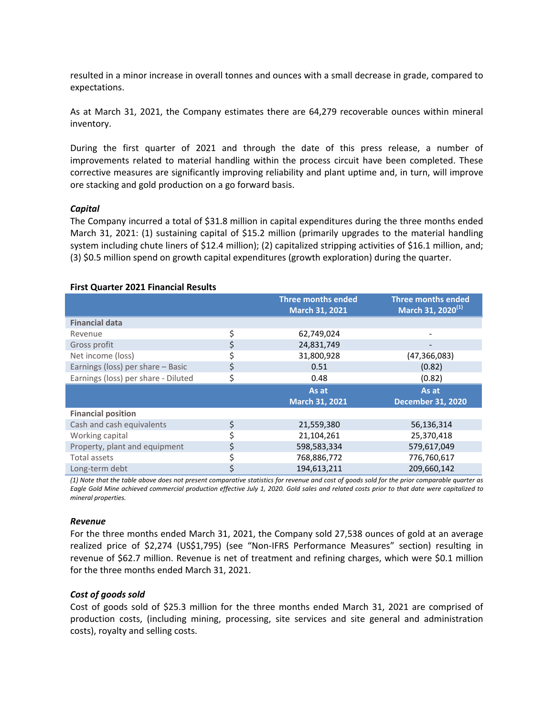resulted in a minor increase in overall tonnes and ounces with a small decrease in grade, compared to expectations.

As at March 31, 2021, the Company estimates there are 64,279 recoverable ounces within mineral inventory.

During the first quarter of 2021 and through the date of this press release, a number of improvements related to material handling within the process circuit have been completed. These corrective measures are significantly improving reliability and plant uptime and, in turn, will improve ore stacking and gold production on a go forward basis.

#### *Capital*

The Company incurred a total of \$31.8 million in capital expenditures during the three months ended March 31, 2021: (1) sustaining capital of \$15.2 million (primarily upgrades to the material handling system including chute liners of \$12.4 million); (2) capitalized stripping activities of \$16.1 million, and; (3) \$0.5 million spend on growth capital expenditures (growth exploration) during the quarter.

#### **First Quarter 2021 Financial Results**

|                                     |    | <b>Three months ended</b><br><b>March 31, 2021</b> | <b>Three months ended</b><br>March 31, 2020 <sup>(1)</sup> |
|-------------------------------------|----|----------------------------------------------------|------------------------------------------------------------|
| <b>Financial data</b>               |    |                                                    |                                                            |
| Revenue                             | Ś  | 62,749,024                                         |                                                            |
| Gross profit                        |    | 24,831,749                                         |                                                            |
| Net income (loss)                   | \$ | 31,800,928                                         | (47, 366, 083)                                             |
| Earnings (loss) per share - Basic   | \$ | 0.51                                               | (0.82)                                                     |
| Earnings (loss) per share - Diluted | \$ | 0.48                                               | (0.82)                                                     |
|                                     |    | As at                                              | As at                                                      |
|                                     |    | <b>March 31, 2021</b>                              | <b>December 31, 2020</b>                                   |
| <b>Financial position</b>           |    |                                                    |                                                            |
| Cash and cash equivalents           | Ś  | 21,559,380                                         | 56,136,314                                                 |
| Working capital                     |    | 21,104,261                                         | 25,370,418                                                 |
| Property, plant and equipment       |    | 598,583,334                                        | 579,617,049                                                |
| Total assets                        |    | 768,886,772                                        | 776,760,617                                                |
| Long-term debt                      |    | 194,613,211                                        | 209,660,142                                                |

*(1) Note that the table above does not present comparative statistics for revenue and cost of goods sold for the prior comparable quarter as Eagle Gold Mine achieved commercial production effective July 1, 2020. Gold sales and related costs prior to that date were capitalized to mineral properties.*

#### *Revenue*

For the three months ended March 31, 2021, the Company sold 27,538 ounces of gold at an average realized price of \$2,274 (US\$1,795) (see "Non-IFRS Performance Measures" section) resulting in revenue of \$62.7 million. Revenue is net of treatment and refining charges, which were \$0.1 million for the three months ended March 31, 2021.

#### *Cost of goods sold*

Cost of goods sold of \$25.3 million for the three months ended March 31, 2021 are comprised of production costs, (including mining, processing, site services and site general and administration costs), royalty and selling costs.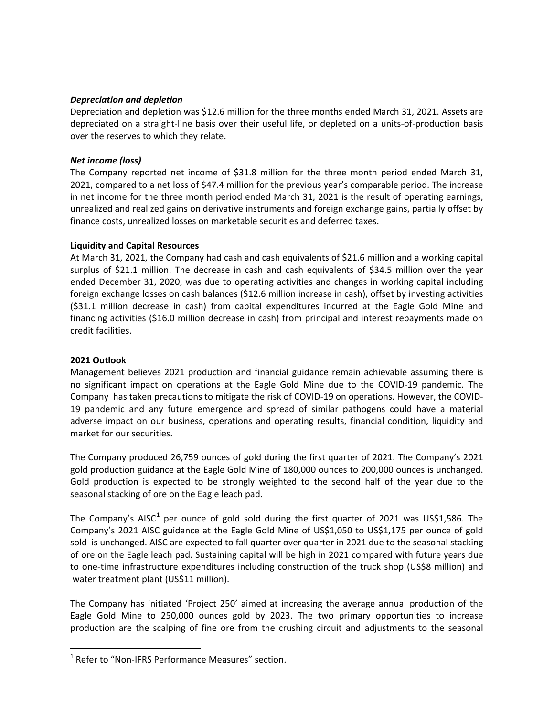## *Depreciation and depletion*

Depreciation and depletion was \$12.6 million for the three months ended March 31, 2021. Assets are depreciated on a straight-line basis over their useful life, or depleted on a units-of-production basis over the reserves to which they relate.

## *Net income (loss)*

The Company reported net income of \$31.8 million for the three month period ended March 31, 2021, compared to a net loss of \$47.4 million for the previous year's comparable period. The increase in net income for the three month period ended March 31, 2021 is the result of operating earnings, unrealized and realized gains on derivative instruments and foreign exchange gains, partially offset by finance costs, unrealized losses on marketable securities and deferred taxes.

## **Liquidity and Capital Resources**

At March 31, 2021, the Company had cash and cash equivalents of \$21.6 million and a working capital surplus of \$21.1 million. The decrease in cash and cash equivalents of \$34.5 million over the year ended December 31, 2020, was due to operating activities and changes in working capital including foreign exchange losses on cash balances (\$12.6 million increase in cash), offset by investing activities (\$31.1 million decrease in cash) from capital expenditures incurred at the Eagle Gold Mine and financing activities (\$16.0 million decrease in cash) from principal and interest repayments made on credit facilities.

# **2021 Outlook**

 $\overline{a}$ 

Management believes 2021 production and financial guidance remain achievable assuming there is no significant impact on operations at the Eagle Gold Mine due to the COVID-19 pandemic. The Company has taken precautions to mitigate the risk of COVID-19 on operations. However, the COVID-19 pandemic and any future emergence and spread of similar pathogens could have a material adverse impact on our business, operations and operating results, financial condition, liquidity and market for our securities.

The Company produced 26,759 ounces of gold during the first quarter of 2021. The Company's 2021 gold production guidance at the Eagle Gold Mine of 180,000 ounces to 200,000 ounces is unchanged. Gold production is expected to be strongly weighted to the second half of the year due to the seasonal stacking of ore on the Eagle leach pad.

The Company's AISC<sup>[1](#page-3-0)</sup> per ounce of gold sold during the first quarter of 2021 was US\$1,586. The Company's 2021 AISC guidance at the Eagle Gold Mine of US\$1,050 to US\$1,175 per ounce of gold sold is unchanged. AISC are expected to fall quarter over quarter in 2021 due to the seasonal stacking of ore on the Eagle leach pad. Sustaining capital will be high in 2021 compared with future years due to one-time infrastructure expenditures including construction of the truck shop (US\$8 million) and water treatment plant (US\$11 million).

The Company has initiated 'Project 250' aimed at increasing the average annual production of the Eagle Gold Mine to 250,000 ounces gold by 2023. The two primary opportunities to increase production are the scalping of fine ore from the crushing circuit and adjustments to the seasonal

<span id="page-3-0"></span> $1$  Refer to "Non-IFRS Performance Measures" section.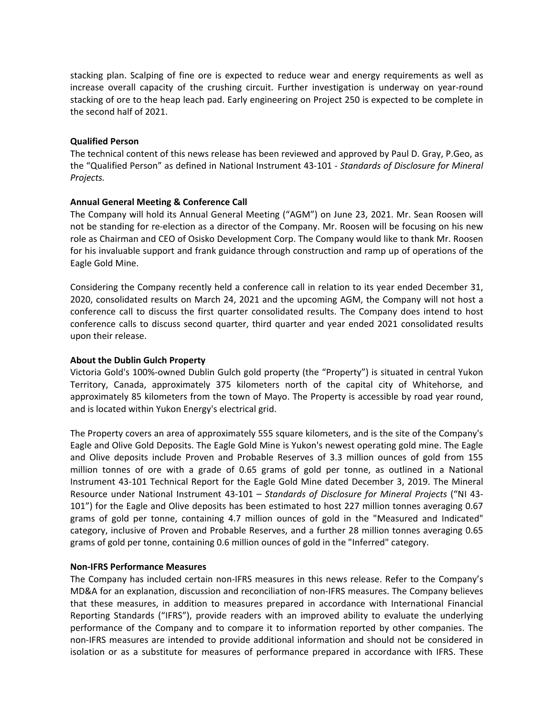stacking plan. Scalping of fine ore is expected to reduce wear and energy requirements as well as increase overall capacity of the crushing circuit. Further investigation is underway on year-round stacking of ore to the heap leach pad. Early engineering on Project 250 is expected to be complete in the second half of 2021.

## **Qualified Person**

The technical content of this news release has been reviewed and approved by Paul D. Gray, P.Geo, as the "Qualified Person" as defined in National Instrument 43-101 - *Standards of Disclosure for Mineral Projects.*

# **Annual General Meeting & Conference Call**

The Company will hold its Annual General Meeting ("AGM") on June 23, 2021. Mr. Sean Roosen will not be standing for re-election as a director of the Company. Mr. Roosen will be focusing on his new role as Chairman and CEO of Osisko Development Corp. The Company would like to thank Mr. Roosen for his invaluable support and frank guidance through construction and ramp up of operations of the Eagle Gold Mine.

Considering the Company recently held a conference call in relation to its year ended December 31, 2020, consolidated results on March 24, 2021 and the upcoming AGM, the Company will not host a conference call to discuss the first quarter consolidated results. The Company does intend to host conference calls to discuss second quarter, third quarter and year ended 2021 consolidated results upon their release.

#### **About the Dublin Gulch Property**

Victoria Gold's 100%-owned Dublin Gulch gold property (the "Property") is situated in central Yukon Territory, Canada, approximately 375 kilometers north of the capital city of Whitehorse, and approximately 85 kilometers from the town of Mayo. The Property is accessible by road year round, and is located within Yukon Energy's electrical grid.

The Property covers an area of approximately 555 square kilometers, and is the site of the Company's Eagle and Olive Gold Deposits. The Eagle Gold Mine is Yukon's newest operating gold mine. The Eagle and Olive deposits include Proven and Probable Reserves of 3.3 million ounces of gold from 155 million tonnes of ore with a grade of 0.65 grams of gold per tonne, as outlined in a National Instrument 43-101 Technical Report for the Eagle Gold Mine dated December 3, 2019. The Mineral Resource under National Instrument 43-101 – *Standards of Disclosure for Mineral Projects* ("NI 43- 101") for the Eagle and Olive deposits has been estimated to host 227 million tonnes averaging 0.67 grams of gold per tonne, containing 4.7 million ounces of gold in the "Measured and Indicated" category, inclusive of Proven and Probable Reserves, and a further 28 million tonnes averaging 0.65 grams of gold per tonne, containing 0.6 million ounces of gold in the "Inferred" category.

#### **Non-IFRS Performance Measures**

The Company has included certain non-IFRS measures in this news release. Refer to the Company's MD&A for an explanation, discussion and reconciliation of non-IFRS measures. The Company believes that these measures, in addition to measures prepared in accordance with International Financial Reporting Standards ("IFRS"), provide readers with an improved ability to evaluate the underlying performance of the Company and to compare it to information reported by other companies. The non-IFRS measures are intended to provide additional information and should not be considered in isolation or as a substitute for measures of performance prepared in accordance with IFRS. These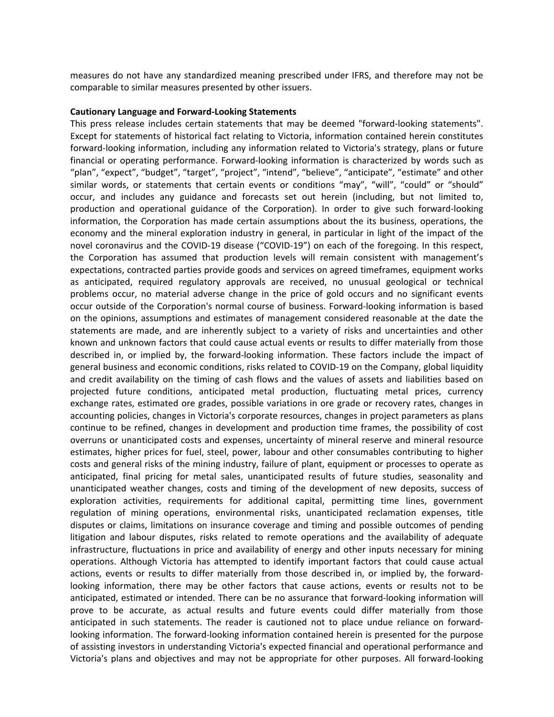measures do not have any standardized meaning prescribed under IFRS, and therefore may not be comparable to similar measures presented by other issuers.

#### **Cautionary Language and Forward-Looking Statements**

This press release includes certain statements that may be deemed "forward-looking statements". Except for statements of historical fact relating to Victoria, information contained herein constitutes forward-looking information, including any information related to Victoria's strategy, plans or future financial or operating performance. Forward-looking information is characterized by words such as "plan", "expect", "budget", "target", "project", "intend", "believe", "anticipate", "estimate" and other similar words, or statements that certain events or conditions "may", "will", "could" or "should" occur, and includes any guidance and forecasts set out herein (including, but not limited to, production and operational guidance of the Corporation). In order to give such forward-looking information, the Corporation has made certain assumptions about the its business, operations, the economy and the mineral exploration industry in general, in particular in light of the impact of the novel coronavirus and the COVID-19 disease ("COVID-19") on each of the foregoing. In this respect, the Corporation has assumed that production levels will remain consistent with management's expectations, contracted parties provide goods and services on agreed timeframes, equipment works as anticipated, required regulatory approvals are received, no unusual geological or technical problems occur, no material adverse change in the price of gold occurs and no significant events occur outside of the Corporation's normal course of business. Forward-looking information is based on the opinions, assumptions and estimates of management considered reasonable at the date the statements are made, and are inherently subject to a variety of risks and uncertainties and other known and unknown factors that could cause actual events or results to differ materially from those described in, or implied by, the forward-looking information. These factors include the impact of general business and economic conditions, risks related to COVID-19 on the Company, global liquidity and credit availability on the timing of cash flows and the values of assets and liabilities based on projected future conditions, anticipated metal production, fluctuating metal prices, currency exchange rates, estimated ore grades, possible variations in ore grade or recovery rates, changes in accounting policies, changes in Victoria's corporate resources, changes in project parameters as plans continue to be refined, changes in development and production time frames, the possibility of cost overruns or unanticipated costs and expenses, uncertainty of mineral reserve and mineral resource estimates, higher prices for fuel, steel, power, labour and other consumables contributing to higher costs and general risks of the mining industry, failure of plant, equipment or processes to operate as anticipated, final pricing for metal sales, unanticipated results of future studies, seasonality and unanticipated weather changes, costs and timing of the development of new deposits, success of exploration activities, requirements for additional capital, permitting time lines, government regulation of mining operations, environmental risks, unanticipated reclamation expenses, title disputes or claims, limitations on insurance coverage and timing and possible outcomes of pending litigation and labour disputes, risks related to remote operations and the availability of adequate infrastructure, fluctuations in price and availability of energy and other inputs necessary for mining operations. Although Victoria has attempted to identify important factors that could cause actual actions, events or results to differ materially from those described in, or implied by, the forwardlooking information, there may be other factors that cause actions, events or results not to be anticipated, estimated or intended. There can be no assurance that forward-looking information will prove to be accurate, as actual results and future events could differ materially from those anticipated in such statements. The reader is cautioned not to place undue reliance on forwardlooking information. The forward-looking information contained herein is presented for the purpose of assisting investors in understanding Victoria's expected financial and operational performance and Victoria's plans and objectives and may not be appropriate for other purposes. All forward-looking